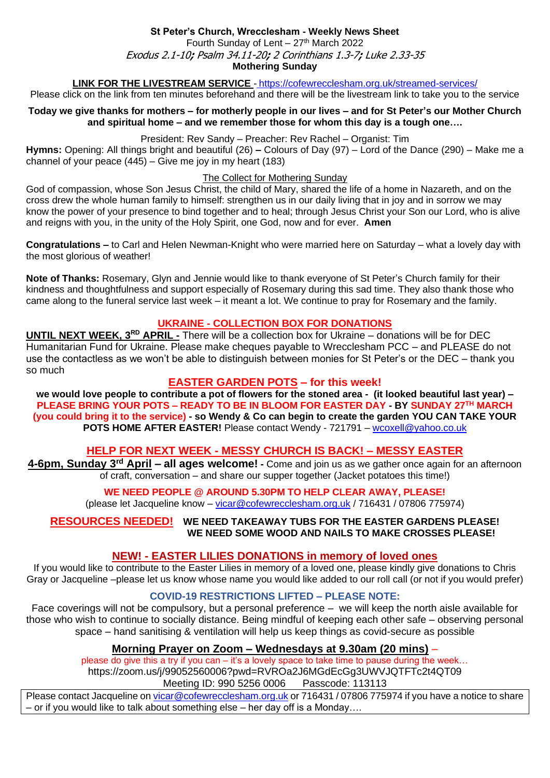### **St Peter's Church, Wrecclesham - Weekly News Sheet** Fourth Sunday of Lent - 27<sup>th</sup> March 2022 Exodus 2.1-10**;** Psalm 34.11-20**;** 2 Corinthians 1.3-7**;** Luke 2.33-35 **Mothering Sunday**

**LINK FOR THE LIVESTREAM SERVICE** - <https://cofewrecclesham.org.uk/streamed-services/>

Please click on the link from ten minutes beforehand and there will be the livestream link to take you to the service

#### **Today we give thanks for mothers – for motherly people in our lives – and for St Peter's our Mother Church and spiritual home – and we remember those for whom this day is a tough one….**

President: Rev Sandy – Preacher: Rev Rachel – Organist: Tim

**Hymns:** Opening: All things bright and beautiful (26) **–** Colours of Day (97) – Lord of the Dance (290) – Make me a channel of your peace (445) – Give me joy in my heart (183)

#### The Collect for Mothering Sunday

God of compassion, whose Son Jesus Christ, the child of Mary, shared the life of a home in Nazareth, and on the cross drew the whole human family to himself: strengthen us in our daily living that in joy and in sorrow we may know the power of your presence to bind together and to heal; through Jesus Christ your Son our Lord, who is alive and reigns with you, in the unity of the Holy Spirit, one God, now and for ever. **Amen**

**Congratulations –** to Carl and Helen Newman-Knight who were married here on Saturday – what a lovely day with the most glorious of weather!

**Note of Thanks:** Rosemary, Glyn and Jennie would like to thank everyone of St Peter's Church family for their kindness and thoughtfulness and support especially of Rosemary during this sad time. They also thank those who came along to the funeral service last week – it meant a lot. We continue to pray for Rosemary and the family.

### **UKRAINE - COLLECTION BOX FOR DONATIONS**

**UNTIL NEXT WEEK, 3RD APRIL -** There will be a collection box for Ukraine – donations will be for DEC Humanitarian Fund for Ukraine. Please make cheques payable to Wrecclesham PCC – and PLEASE do not use the contactless as we won't be able to distinguish between monies for St Peter's or the DEC – thank you so much

## **EASTER GARDEN POTS – for this week!**

**we would love people to contribute a pot of flowers for the stoned area - (it looked beautiful last year) – PLEASE BRING YOUR POTS – READY TO BE IN BLOOM FOR EASTER DAY - BY SUNDAY 27TH MARCH (you could bring it to the service) - so Wendy & Co can begin to create the garden YOU CAN TAKE YOUR POTS HOME AFTER EASTER!** Please contact Wendy - 721791 – [wcoxell@yahoo.co.uk](mailto:wcoxell@yahoo.co.uk)

### **HELP FOR NEXT WEEK - MESSY CHURCH IS BACK! – MESSY EASTER**

**4-6pm, Sunday 3rd April – all ages welcome! -** Come and join us as we gather once again for an afternoon of craft, conversation – and share our supper together (Jacket potatoes this time!)

> **WE NEED PEOPLE @ AROUND 5.30PM TO HELP CLEAR AWAY, PLEASE!** (please let Jacqueline know – [vicar@cofewrecclesham.org.uk](mailto:vicar@cofewrecclesham.org.uk) / 716431 / 07806 775974)

### **RESOURCES NEEDED! WE NEED TAKEAWAY TUBS FOR THE EASTER GARDENS PLEASE! WE NEED SOME WOOD AND NAILS TO MAKE CROSSES PLEASE!**

# **NEW! - EASTER LILIES DONATIONS in memory of loved ones**

If you would like to contribute to the Easter Lilies in memory of a loved one, please kindly give donations to Chris Gray or Jacqueline –please let us know whose name you would like added to our roll call (or not if you would prefer)

# **COVID-19 RESTRICTIONS LIFTED – PLEASE NOTE:**

Face coverings will not be compulsory, but a personal preference – we will keep the north aisle available for those who wish to continue to socially distance. Being mindful of keeping each other safe – observing personal space – hand sanitising & ventilation will help us keep things as covid-secure as possible

# **Morning Prayer on Zoom – Wednesdays at 9.30am (20 mins)** –

please do give this a try if you can – it's a lovely space to take time to pause during the week… https://zoom.us/j/99052560006?pwd=RVROa2J6MGdEcGg3UWVJQTFTc2t4QT09 Meeting ID: 990 5256 0006 Passcode: 113113

Please contact Jacqueline on [vicar@cofewrecclesham.org.uk](mailto:vicar@cofewrecclesham.org.uk) or 716431 / 07806 775974 if you have a notice to share – or if you would like to talk about something else – her day off is a Monday….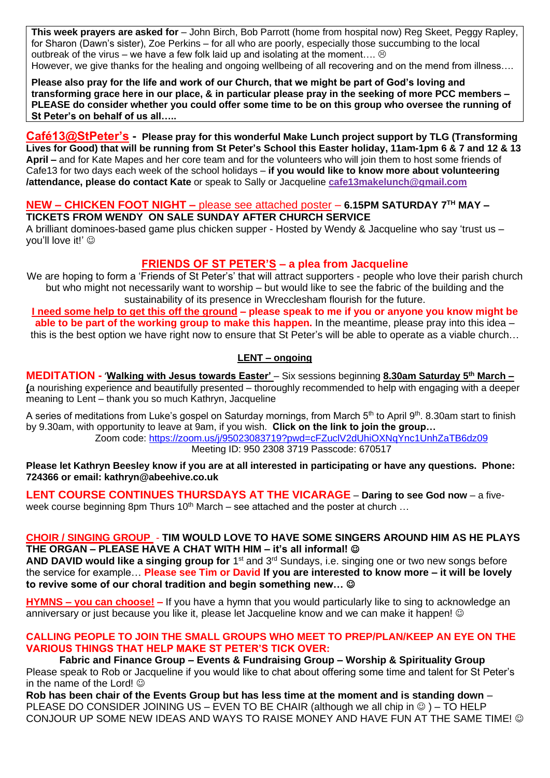**This week prayers are asked for** – John Birch, Bob Parrott (home from hospital now) Reg Skeet, Peggy Rapley, for Sharon (Dawn's sister), Zoe Perkins – for all who are poorly, especially those succumbing to the local outbreak of the virus – we have a few folk laid up and isolating at the moment....  $\odot$ However, we give thanks for the healing and ongoing wellbeing of all recovering and on the mend from illness….

**Please also pray for the life and work of our Church, that we might be part of God's loving and transforming grace here in our place, & in particular please pray in the seeking of more PCC members – PLEASE do consider whether you could offer some time to be on this group who oversee the running of St Peter's on behalf of us all…..**

**Café13@StPeter's - Please pray for this wonderful Make Lunch project support by TLG (Transforming Lives for Good) that will be running from St Peter's School this Easter holiday, 11am-1pm 6 & 7 and 12 & 13 April –** and for Kate Mapes and her core team and for the volunteers who will join them to host some friends of Cafe13 for two days each week of the school holidays – **if you would like to know more about volunteering /attendance, please do contact Kate** or speak to Sally or Jacqueline **[cafe13makelunch@gmail.com](mailto:cafe13makelunch@gmail.com)**

### **NEW – CHICKEN FOOT NIGHT –** please see attached poster – **6.15PM SATURDAY 7TH MAY – TICKETS FROM WENDY ON SALE SUNDAY AFTER CHURCH SERVICE**

A brilliant dominoes-based game plus chicken supper - Hosted by Wendy & Jacqueline who say 'trust us – vou'll love it!'  $\odot$ 

# **FRIENDS OF ST PETER'S – a plea from Jacqueline**

We are hoping to form a 'Friends of St Peter's' that will attract supporters - people who love their parish church but who might not necessarily want to worship – but would like to see the fabric of the building and the sustainability of its presence in Wrecclesham flourish for the future.

**I need some help to get this off the ground – please speak to me if you or anyone you know might be able to be part of the working group to make this happen.** In the meantime, please pray into this idea – this is the best option we have right now to ensure that St Peter's will be able to operate as a viable church…

### **LENT – ongoing**

**MEDITATION -** 'Walking with Jesus towards Easter' – Six sessions beginning 8.30am Saturday 5<sup>th</sup> March – **(**a nourishing experience and beautifully presented – thoroughly recommended to help with engaging with a deeper meaning to Lent – thank you so much Kathryn, Jacqueline

A series of meditations from Luke's gospel on Saturday mornings, from March 5<sup>th</sup> to April 9<sup>th</sup>. 8.30am start to finish by 9.30am, with opportunity to leave at 9am, if you wish. **Click on the link to join the group…**  Zoom code:<https://zoom.us/j/95023083719?pwd=cFZuclV2dUhiOXNqYnc1UnhZaTB6dz09>

Meeting ID: 950 2308 3719 Passcode: 670517

**Please let Kathryn Beesley know if you are at all interested in participating or have any questions. Phone: 724366 or email: kathryn@abeehive.co.uk**

**LENT COURSE CONTINUES THURSDAYS AT THE VICARAGE** – **Daring to see God now** – a fiveweek course beginning 8pm Thurs  $10<sup>th</sup>$  March – see attached and the poster at church ...

### **CHOIR / SINGING GROUP** - **TIM WOULD LOVE TO HAVE SOME SINGERS AROUND HIM AS HE PLAYS THE ORGAN – PLEASE HAVE A CHAT WITH HIM – it's all informal!** ☺

AND DAVID would like a singing group for 1<sup>st</sup> and 3<sup>rd</sup> Sundays, i.e. singing one or two new songs before the service for example… **Please see Tim or David If you are interested to know more – it will be lovely to revive some of our choral tradition and begin something new…** ☺

**HYMNS – you can choose! –** If you have a hymn that you would particularly like to sing to acknowledge an anniversary or just because you like it, please let Jacqueline know and we can make it happen! ©

### **CALLING PEOPLE TO JOIN THE SMALL GROUPS WHO MEET TO PREP/PLAN/KEEP AN EYE ON THE VARIOUS THINGS THAT HELP MAKE ST PETER'S TICK OVER:**

**Fabric and Finance Group – Events & Fundraising Group – Worship & Spirituality Group** Please speak to Rob or Jacqueline if you would like to chat about offering some time and talent for St Peter's in the name of the Lord!  $\odot$ 

**Rob has been chair of the Events Group but has less time at the moment and is standing down** – PLEASE DO CONSIDER JOINING US – EVEN TO BE CHAIR (although we all chip in  $\circledcirc$ ) – TO HELP CONJOUR UP SOME NEW IDEAS AND WAYS TO RAISE MONEY AND HAVE FUN AT THE SAME TIME!  $\odot$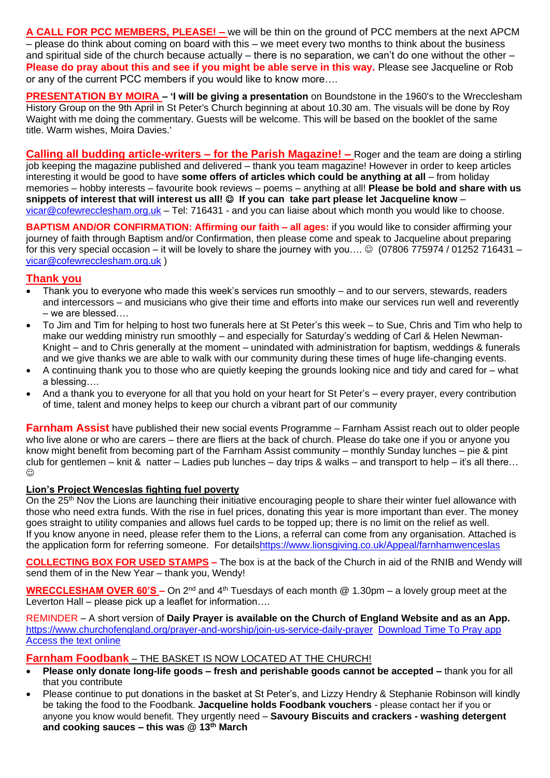**A CALL FOR PCC MEMBERS, PLEASE! –** we will be thin on the ground of PCC members at the next APCM – please do think about coming on board with this – we meet every two months to think about the business and spiritual side of the church because actually – there is no separation, we can't do one without the other – **Please do pray about this and see if you might be able serve in this way.** Please see Jacqueline or Rob or any of the current PCC members if you would like to know more….

**PRESENTATION BY MOIRA – 'I will be giving a presentation** on Boundstone in the 1960's to the Wrecclesham History Group on the 9th April in St Peter's Church beginning at about 10.30 am. The visuals will be done by Roy Waight with me doing the commentary. Guests will be welcome. This will be based on the booklet of the same title. Warm wishes, Moira Davies.'

**Calling all budding article-writers – for the Parish Magazine! –** Roger and the team are doing a stirling job keeping the magazine published and delivered – thank you team magazine! However in order to keep articles interesting it would be good to have **some offers of articles which could be anything at all** – from holiday memories – hobby interests – favourite book reviews – poems – anything at all! **Please be bold and share with us snippets of interest that will interest us all!** ☺ **If you can take part please let Jacqueline know** – [vicar@cofewrecclesham.org.uk](mailto:vicar@cofewrecclesham.org.uk) – Tel: 716431 - and you can liaise about which month you would like to choose.

**BAPTISM AND/OR CONFIRMATION: Affirming our faith – all ages:** if you would like to consider affirming your journey of faith through Baptism and/or Confirmation, then please come and speak to Jacqueline about preparing for this very special occasion – it will be lovely to share the journey with you….  $\odot$  (07806 775974 / 01252 716431 – [vicar@cofewrecclesham.org.uk](mailto:vicar@cofewrecclesham.org.uk) )

## **Thank you**

- Thank you to everyone who made this week's services run smoothly and to our servers, stewards, readers and intercessors – and musicians who give their time and efforts into make our services run well and reverently – we are blessed….
- To Jim and Tim for helping to host two funerals here at St Peter's this week to Sue, Chris and Tim who help to make our wedding ministry run smoothly – and especially for Saturday's wedding of Carl & Helen Newman-Knight – and to Chris generally at the moment – unindated with administration for baptism, weddings & funerals and we give thanks we are able to walk with our community during these times of huge life-changing events.
- A continuing thank you to those who are quietly keeping the grounds looking nice and tidy and cared for what a blessing….
- And a thank you to everyone for all that you hold on your heart for St Peter's every prayer, every contribution of time, talent and money helps to keep our church a vibrant part of our community

**Farnham Assist** have published their new social events Programme – Farnham Assist reach out to older people who live alone or who are carers – there are fliers at the back of church. Please do take one if you or anyone you know might benefit from becoming part of the Farnham Assist community – monthly Sunday lunches – pie & pint club for gentlemen – knit & natter – Ladies pub lunches – day trips & walks – and transport to help – it's all there...  $\odot$ 

### **Lion's Project Wenceslas fighting fuel poverty**

On the 25<sup>th</sup> Nov the Lions are launching their initiative encouraging people to share their winter fuel allowance with those who need extra funds. With the rise in fuel prices, donating this year is more important than ever. The money goes straight to utility companies and allows fuel cards to be topped up; there is no limit on the relief as well. If you know anyone in need, please refer them to the Lions, a referral can come from any organisation. Attached is the application form for referring someone. For detail[shttps://www.lionsgiving.co.uk/Appeal/farnhamwenceslas](https://www.lionsgiving.co.uk/Appeal/farnhamwenceslas)

**COLLECTING BOX FOR USED STAMPS –** The box is at the back of the Church in aid of the RNIB and Wendy will send them of in the New Year – thank you, Wendy!

**WRECCLESHAM OVER 60'S –** On 2<sup>nd</sup> and 4<sup>th</sup> Tuesdays of each month @ 1.30pm – a lovely group meet at the Leverton Hall – please pick up a leaflet for information….

REMINDER – A short version of **Daily Prayer is available on the Church of England Website and as an App.** <https://www.churchofengland.org/prayer-and-worship/join-us-service-daily-prayer> [Download Time To Pray app](https://www.chpublishing.co.uk/apps/time-to-pray)  [Access the text online](https://www.churchofengland.org/prayer-and-worship/join-us-in-daily-prayer/prayer-during-day-contemporary-Saturday-30-January-2021)

### **Farnham Foodbank** – THE BASKET IS NOW LOCATED AT THE CHURCH!

- **Please only donate long-life goods – fresh and perishable goods cannot be accepted –** thank you for all that you contribute
- Please continue to put donations in the basket at St Peter's, and Lizzy Hendry & Stephanie Robinson will kindly be taking the food to the Foodbank. **Jacqueline holds Foodbank vouchers** - please contact her if you or anyone you know would benefit. They urgently need – **Savoury Biscuits and crackers - washing detergent and cooking sauces – this was @ 13th March**